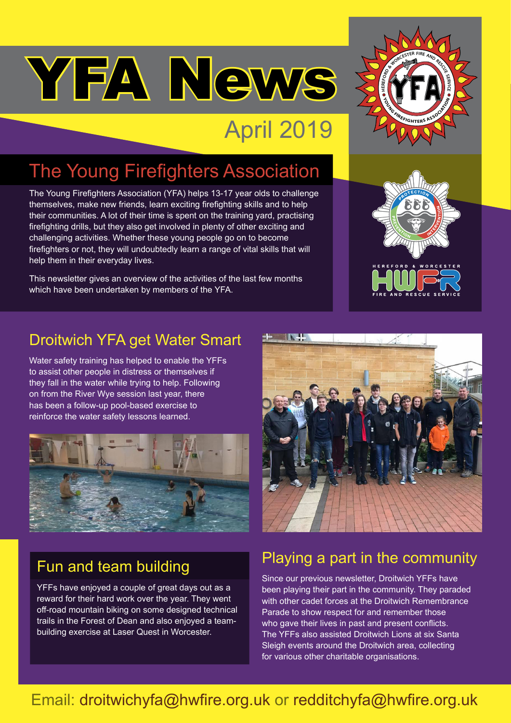# YFA News

# April 2019

## The Young Firefighters Association

The Young Firefighters Association (YFA) helps 13-17 year olds to challenge themselves, make new friends, learn exciting firefighting skills and to help their communities. A lot of their time is spent on the training yard, practising firefighting drills, but they also get involved in plenty of other exciting and challenging activities. Whether these young people go on to become firefighters or not, they will undoubtedly learn a range of vital skills that will help them in their everyday lives.

This newsletter gives an overview of the activities of the last few months which have been undertaken by members of the YFA.





## Droitwich YFA get Water Smart

Water safety training has helped to enable the YFFs to assist other people in distress or themselves if they fall in the water while trying to help. Following on from the River Wye session last year, there has been a follow-up pool-based exercise to reinforce the water safety lessons learned.



## Fun and team building

YFFs have enjoyed a couple of great days out as a reward for their hard work over the year. They went off-road mountain biking on some designed technical trails in the Forest of Dean and also enjoyed a teambuilding exercise at Laser Quest in Worcester.



## Playing a part in the community

Since our previous newsletter, Droitwich YFFs have been playing their part in the community. They paraded with other cadet forces at the Droitwich Remembrance Parade to show respect for and remember those who gave their lives in past and present conflicts. The YFFs also assisted Droitwich Lions at six Santa Sleigh events around the Droitwich area, collecting for various other charitable organisations.

## Email: droitwichyfa@hwfire.org.uk or redditchyfa@hwfire.org.uk